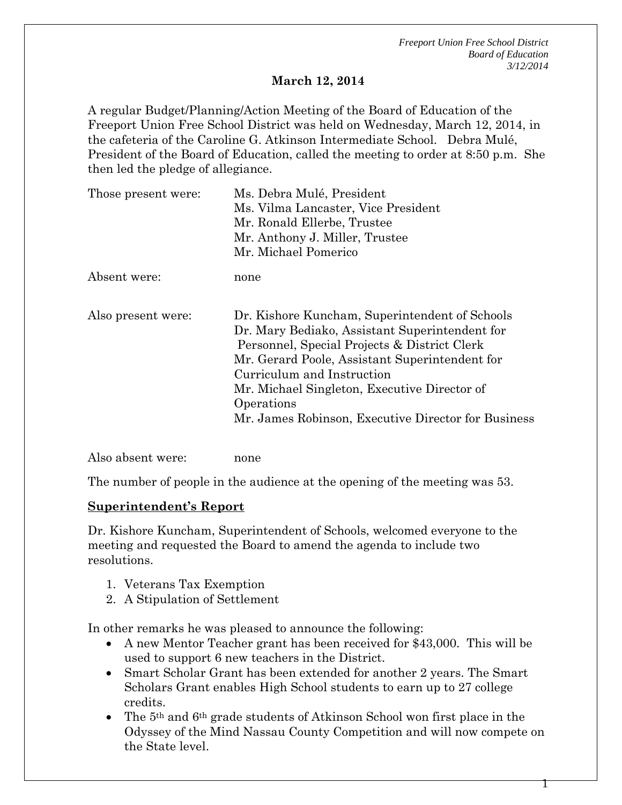*Freeport Union Free School District Board of Education 3/12/2014*

#### **March 12, 2014**

A regular Budget/Planning/Action Meeting of the Board of Education of the Freeport Union Free School District was held on Wednesday, March 12, 2014, in the cafeteria of the Caroline G. Atkinson Intermediate School. Debra Mulé, President of the Board of Education, called the meeting to order at 8:50 p.m. She then led the pledge of allegiance.

| Those present were: | Ms. Debra Mulé, President                                                                                                                                                                                                                                                                                                                             |
|---------------------|-------------------------------------------------------------------------------------------------------------------------------------------------------------------------------------------------------------------------------------------------------------------------------------------------------------------------------------------------------|
|                     | Ms. Vilma Lancaster, Vice President                                                                                                                                                                                                                                                                                                                   |
|                     | Mr. Ronald Ellerbe, Trustee                                                                                                                                                                                                                                                                                                                           |
|                     | Mr. Anthony J. Miller, Trustee                                                                                                                                                                                                                                                                                                                        |
|                     | Mr. Michael Pomerico                                                                                                                                                                                                                                                                                                                                  |
| Absent were:        | none                                                                                                                                                                                                                                                                                                                                                  |
| Also present were:  | Dr. Kishore Kuncham, Superintendent of Schools<br>Dr. Mary Bediako, Assistant Superintendent for<br>Personnel, Special Projects & District Clerk<br>Mr. Gerard Poole, Assistant Superintendent for<br>Curriculum and Instruction<br>Mr. Michael Singleton, Executive Director of<br>Operations<br>Mr. James Robinson, Executive Director for Business |
|                     |                                                                                                                                                                                                                                                                                                                                                       |

The number of people in the audience at the opening of the meeting was 53.

#### **Superintendent's Report**

Also absent were: none

Dr. Kishore Kuncham, Superintendent of Schools, welcomed everyone to the meeting and requested the Board to amend the agenda to include two resolutions.

- 1. Veterans Tax Exemption
- 2. A Stipulation of Settlement

In other remarks he was pleased to announce the following:

- A new Mentor Teacher grant has been received for \$43,000. This will be used to support 6 new teachers in the District.
- Smart Scholar Grant has been extended for another 2 years. The Smart Scholars Grant enables High School students to earn up to 27 college credits.
- The 5th and 6th grade students of Atkinson School won first place in the Odyssey of the Mind Nassau County Competition and will now compete on the State level.

1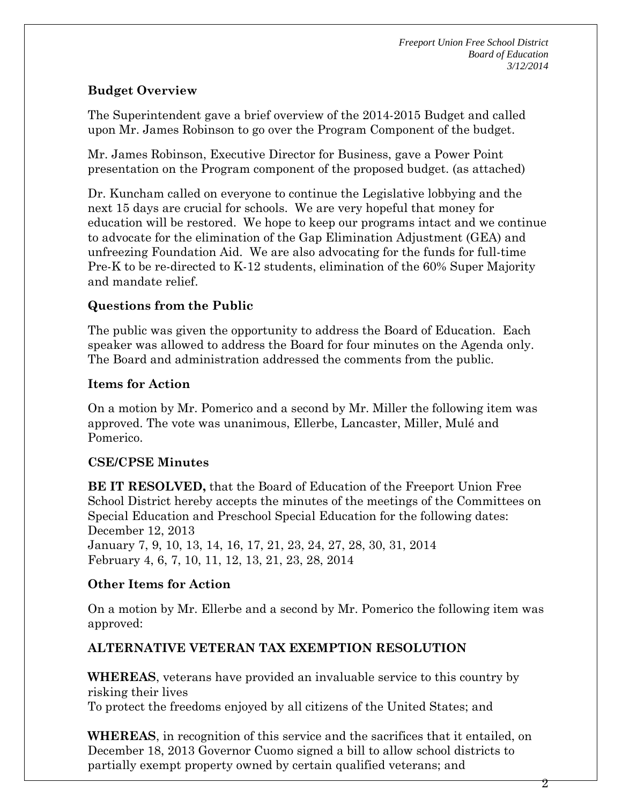*Freeport Union Free School District Board of Education 3/12/2014*

## **Budget Overview**

The Superintendent gave a brief overview of the 2014-2015 Budget and called upon Mr. James Robinson to go over the Program Component of the budget.

Mr. James Robinson, Executive Director for Business, gave a Power Point presentation on the Program component of the proposed budget. (as attached)

Dr. Kuncham called on everyone to continue the Legislative lobbying and the next 15 days are crucial for schools. We are very hopeful that money for education will be restored. We hope to keep our programs intact and we continue to advocate for the elimination of the Gap Elimination Adjustment (GEA) and unfreezing Foundation Aid. We are also advocating for the funds for full-time Pre-K to be re-directed to K-12 students, elimination of the 60% Super Majority and mandate relief.

## **Questions from the Public**

The public was given the opportunity to address the Board of Education. Each speaker was allowed to address the Board for four minutes on the Agenda only. The Board and administration addressed the comments from the public.

### **Items for Action**

On a motion by Mr. Pomerico and a second by Mr. Miller the following item was approved. The vote was unanimous, Ellerbe, Lancaster, Miller, Mulé and Pomerico.

# **CSE/CPSE Minutes**

**BE IT RESOLVED,** that the Board of Education of the Freeport Union Free School District hereby accepts the minutes of the meetings of the Committees on Special Education and Preschool Special Education for the following dates: December 12, 2013 January 7, 9, 10, 13, 14, 16, 17, 21, 23, 24, 27, 28, 30, 31, 2014 February 4, 6, 7, 10, 11, 12, 13, 21, 23, 28, 2014

# **Other Items for Action**

On a motion by Mr. Ellerbe and a second by Mr. Pomerico the following item was approved:

# **ALTERNATIVE VETERAN TAX EXEMPTION RESOLUTION**

**WHEREAS**, veterans have provided an invaluable service to this country by risking their lives

To protect the freedoms enjoyed by all citizens of the United States; and

**WHEREAS**, in recognition of this service and the sacrifices that it entailed, on December 18, 2013 Governor Cuomo signed a bill to allow school districts to partially exempt property owned by certain qualified veterans; and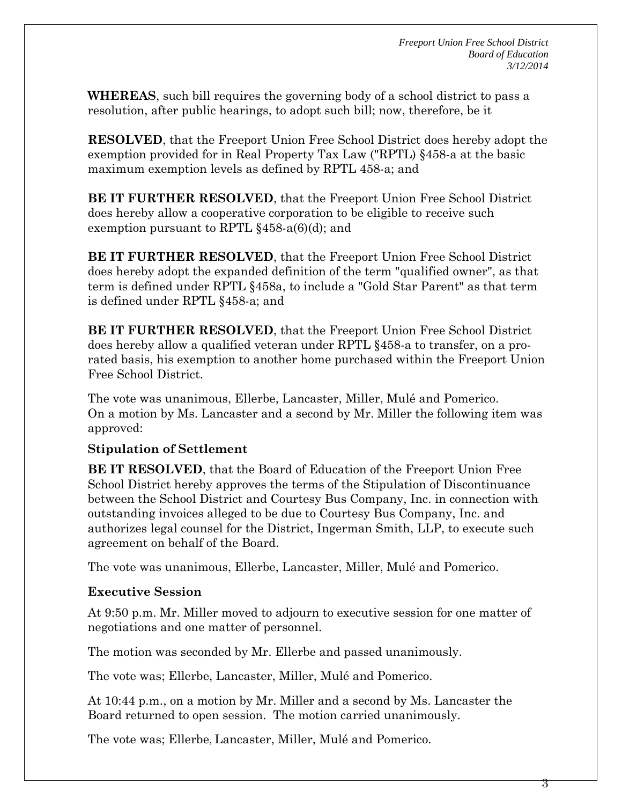**WHEREAS**, such bill requires the governing body of a school district to pass a resolution, after public hearings, to adopt such bill; now, therefore, be it

**RESOLVED**, that the Freeport Union Free School District does hereby adopt the exemption provided for in Real Property Tax Law ("RPTL) §458-a at the basic maximum exemption levels as defined by RPTL 458-a; and

**BE IT FURTHER RESOLVED**, that the Freeport Union Free School District does hereby allow a cooperative corporation to be eligible to receive such exemption pursuant to RPTL §458-a(6)(d); and

**BE IT FURTHER RESOLVED**, that the Freeport Union Free School District does hereby adopt the expanded definition of the term "qualified owner", as that term is defined under RPTL §458a, to include a "Gold Star Parent" as that term is defined under RPTL §458-a; and

**BE IT FURTHER RESOLVED**, that the Freeport Union Free School District does hereby allow a qualified veteran under RPTL §458-a to transfer, on a prorated basis, his exemption to another home purchased within the Freeport Union Free School District.

The vote was unanimous, Ellerbe, Lancaster, Miller, Mulé and Pomerico. On a motion by Ms. Lancaster and a second by Mr. Miller the following item was approved:

# **Stipulation of Settlement**

**BE IT RESOLVED**, that the Board of Education of the Freeport Union Free School District hereby approves the terms of the Stipulation of Discontinuance between the School District and Courtesy Bus Company, Inc. in connection with outstanding invoices alleged to be due to Courtesy Bus Company, Inc. and authorizes legal counsel for the District, Ingerman Smith, LLP, to execute such agreement on behalf of the Board.

The vote was unanimous, Ellerbe, Lancaster, Miller, Mulé and Pomerico.

### **Executive Session**

At 9:50 p.m. Mr. Miller moved to adjourn to executive session for one matter of negotiations and one matter of personnel.

The motion was seconded by Mr. Ellerbe and passed unanimously.

The vote was; Ellerbe, Lancaster, Miller, Mulé and Pomerico.

At 10:44 p.m., on a motion by Mr. Miller and a second by Ms. Lancaster the Board returned to open session. The motion carried unanimously.

The vote was; Ellerbe, Lancaster, Miller, Mulé and Pomerico.